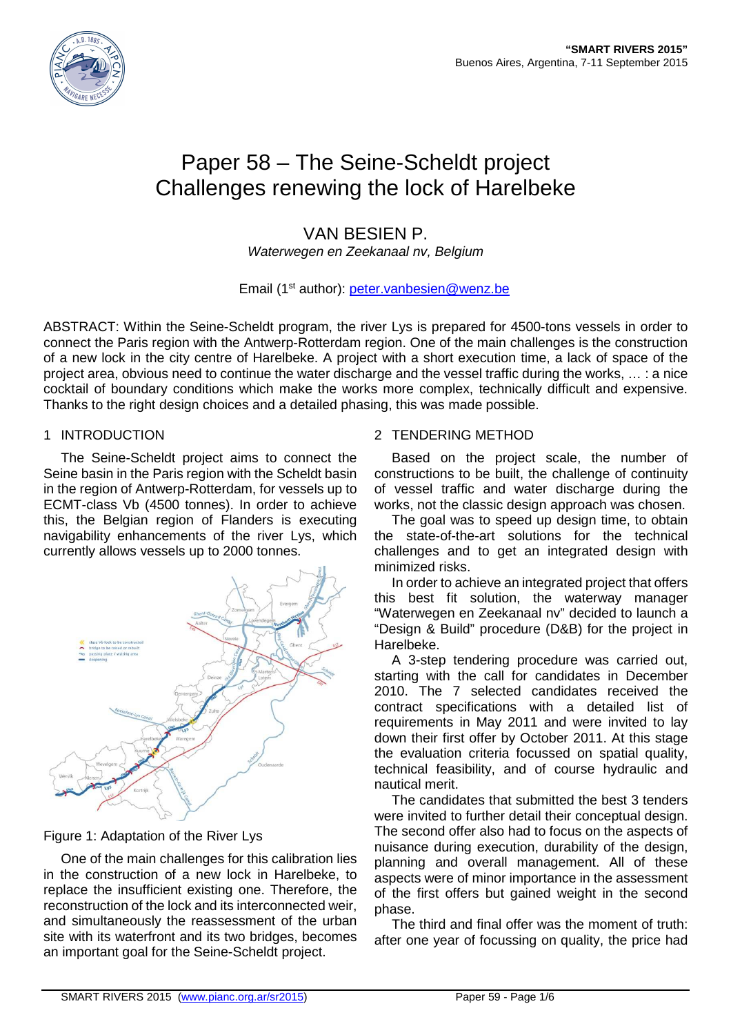

# Paper 58 – The Seine-Scheldt project Challenges renewing the lock of Harelbeke

## VAN BESIEN P.

Waterwegen en Zeekanaal nv, Belgium

## Email (1<sup>st</sup> author): peter.vanbesien@wenz.be

ABSTRACT: Within the Seine-Scheldt program, the river Lys is prepared for 4500-tons vessels in order to connect the Paris region with the Antwerp-Rotterdam region. One of the main challenges is the construction of a new lock in the city centre of Harelbeke. A project with a short execution time, a lack of space of the project area, obvious need to continue the water discharge and the vessel traffic during the works, … : a nice cocktail of boundary conditions which make the works more complex, technically difficult and expensive. Thanks to the right design choices and a detailed phasing, this was made possible.

#### 1 INTRODUCTION

The Seine-Scheldt project aims to connect the Seine basin in the Paris region with the Scheldt basin in the region of Antwerp-Rotterdam, for vessels up to ECMT-class Vb (4500 tonnes). In order to achieve this, the Belgian region of Flanders is executing navigability enhancements of the river Lys, which currently allows vessels up to 2000 tonnes.



## Figure 1: Adaptation of the River Lys

One of the main challenges for this calibration lies in the construction of a new lock in Harelbeke, to replace the insufficient existing one. Therefore, the reconstruction of the lock and its interconnected weir, and simultaneously the reassessment of the urban site with its waterfront and its two bridges, becomes an important goal for the Seine-Scheldt project.

## 2 TENDERING METHOD

Based on the project scale, the number of constructions to be built, the challenge of continuity of vessel traffic and water discharge during the works, not the classic design approach was chosen.

The goal was to speed up design time, to obtain the state-of-the-art solutions for the technical challenges and to get an integrated design with minimized risks.

In order to achieve an integrated project that offers this best fit solution, the waterway manager "Waterwegen en Zeekanaal nv" decided to launch a "Design & Build" procedure (D&B) for the project in Harelbeke.

A 3-step tendering procedure was carried out, starting with the call for candidates in December 2010. The 7 selected candidates received the contract specifications with a detailed list of requirements in May 2011 and were invited to lay down their first offer by October 2011. At this stage the evaluation criteria focussed on spatial quality, technical feasibility, and of course hydraulic and nautical merit.

The candidates that submitted the best 3 tenders were invited to further detail their conceptual design. The second offer also had to focus on the aspects of nuisance during execution, durability of the design, planning and overall management. All of these aspects were of minor importance in the assessment of the first offers but gained weight in the second phase.

The third and final offer was the moment of truth: after one year of focussing on quality, the price had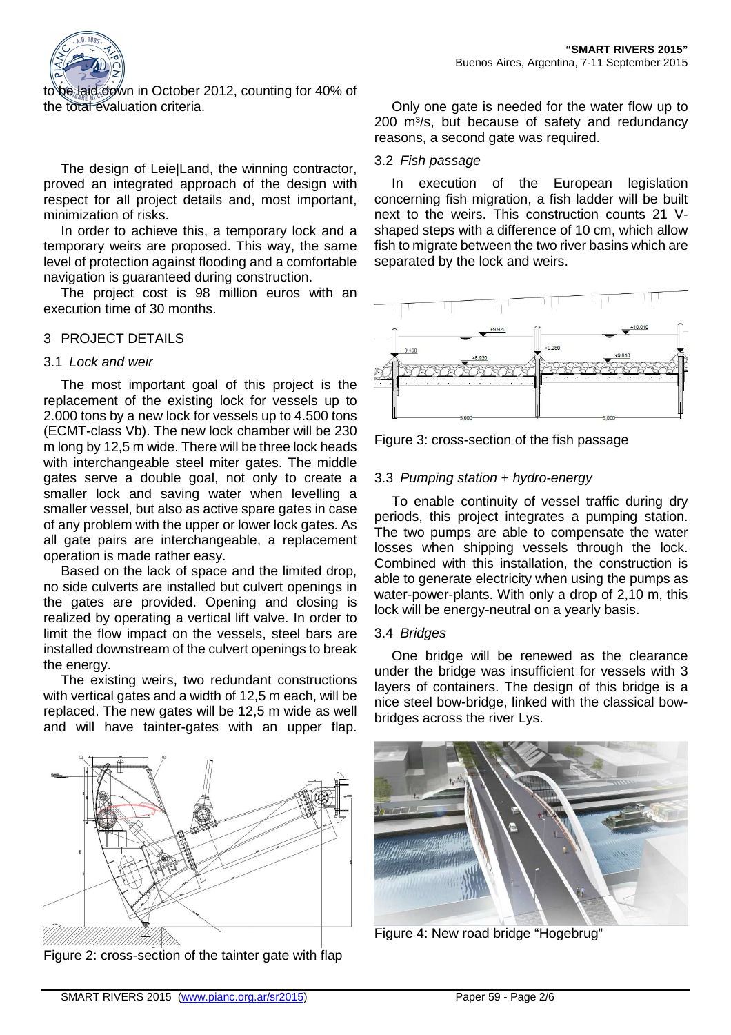

to be laid down in October 2012, counting for 40% of the total evaluation criteria.

The design of Leie|Land, the winning contractor, proved an integrated approach of the design with respect for all project details and, most important, minimization of risks.

In order to achieve this, a temporary lock and a temporary weirs are proposed. This way, the same level of protection against flooding and a comfortable navigation is guaranteed during construction.

The project cost is 98 million euros with an execution time of 30 months.

## 3 PROJECT DETAILS

#### 3.1 Lock and weir

The most important goal of this project is the replacement of the existing lock for vessels up to 2.000 tons by a new lock for vessels up to 4.500 tons (ECMT-class Vb). The new lock chamber will be 230 m long by 12,5 m wide. There will be three lock heads with interchangeable steel miter gates. The middle gates serve a double goal, not only to create a smaller lock and saving water when levelling a smaller vessel, but also as active spare gates in case of any problem with the upper or lower lock gates. As all gate pairs are interchangeable, a replacement operation is made rather easy.

Based on the lack of space and the limited drop, no side culverts are installed but culvert openings in the gates are provided. Opening and closing is realized by operating a vertical lift valve. In order to limit the flow impact on the vessels, steel bars are installed downstream of the culvert openings to break the energy.

The existing weirs, two redundant constructions with vertical gates and a width of 12,5 m each, will be replaced. The new gates will be 12,5 m wide as well and will have tainter-gates with an upper flap.



Figure 2: cross-section of the tainter gate with flap

Only one gate is needed for the water flow up to 200 m<sup>3</sup>/s, but because of safety and redundancy reasons, a second gate was required.

#### 3.2 Fish passage

In execution of the European legislation concerning fish migration, a fish ladder will be built next to the weirs. This construction counts 21 Vshaped steps with a difference of 10 cm, which allow fish to migrate between the two river basins which are separated by the lock and weirs.



Figure 3: cross-section of the fish passage

## 3.3 Pumping station + hydro-energy

To enable continuity of vessel traffic during dry periods, this project integrates a pumping station. The two pumps are able to compensate the water losses when shipping vessels through the lock. Combined with this installation, the construction is able to generate electricity when using the pumps as water-power-plants. With only a drop of 2,10 m, this lock will be energy-neutral on a yearly basis.

#### 3.4 Bridges

One bridge will be renewed as the clearance under the bridge was insufficient for vessels with 3 layers of containers. The design of this bridge is a nice steel bow-bridge, linked with the classical bowbridges across the river Lys.



Figure 4: New road bridge "Hogebrug"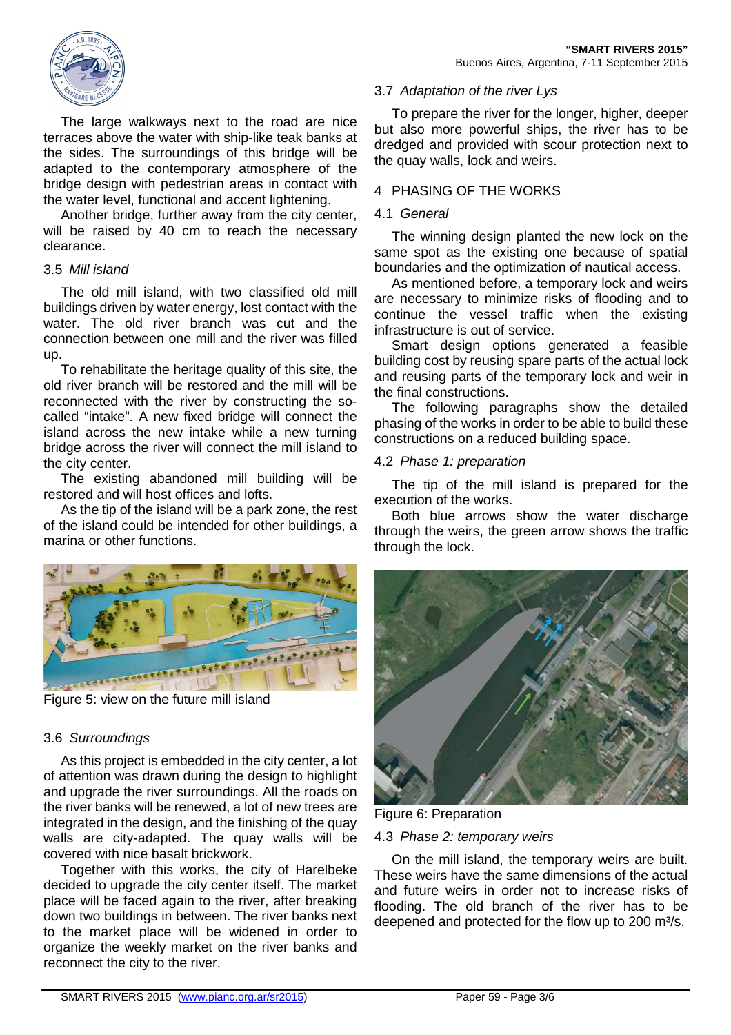

The large walkways next to the road are nice terraces above the water with ship-like teak banks at the sides. The surroundings of this bridge will be adapted to the contemporary atmosphere of the bridge design with pedestrian areas in contact with the water level, functional and accent lightening.

Another bridge, further away from the city center, will be raised by 40 cm to reach the necessary clearance.

#### 3.5 Mill island

The old mill island, with two classified old mill buildings driven by water energy, lost contact with the water. The old river branch was cut and the connection between one mill and the river was filled up.

To rehabilitate the heritage quality of this site, the old river branch will be restored and the mill will be reconnected with the river by constructing the socalled "intake". A new fixed bridge will connect the island across the new intake while a new turning bridge across the river will connect the mill island to the city center.

The existing abandoned mill building will be restored and will host offices and lofts.

As the tip of the island will be a park zone, the rest of the island could be intended for other buildings, a marina or other functions.



Figure 5: view on the future mill island

## 3.6 Surroundings

As this project is embedded in the city center, a lot of attention was drawn during the design to highlight and upgrade the river surroundings. All the roads on the river banks will be renewed, a lot of new trees are integrated in the design, and the finishing of the quay walls are city-adapted. The quay walls will be covered with nice basalt brickwork.

Together with this works, the city of Harelbeke decided to upgrade the city center itself. The market place will be faced again to the river, after breaking down two buildings in between. The river banks next to the market place will be widened in order to organize the weekly market on the river banks and reconnect the city to the river.

#### 3.7 Adaptation of the river Lys

To prepare the river for the longer, higher, deeper but also more powerful ships, the river has to be dredged and provided with scour protection next to the quay walls, lock and weirs.

### 4 PHASING OF THE WORKS

#### 4.1 General

The winning design planted the new lock on the same spot as the existing one because of spatial boundaries and the optimization of nautical access.

As mentioned before, a temporary lock and weirs are necessary to minimize risks of flooding and to continue the vessel traffic when the existing infrastructure is out of service.

Smart design options generated a feasible building cost by reusing spare parts of the actual lock and reusing parts of the temporary lock and weir in the final constructions.

The following paragraphs show the detailed phasing of the works in order to be able to build these constructions on a reduced building space.

#### 4.2 Phase 1: preparation

The tip of the mill island is prepared for the execution of the works.

Both blue arrows show the water discharge through the weirs, the green arrow shows the traffic through the lock.



Figure 6: Preparation

## 4.3 Phase 2: temporary weirs

On the mill island, the temporary weirs are built. These weirs have the same dimensions of the actual and future weirs in order not to increase risks of flooding. The old branch of the river has to be deepened and protected for the flow up to 200 m<sup>3</sup>/s.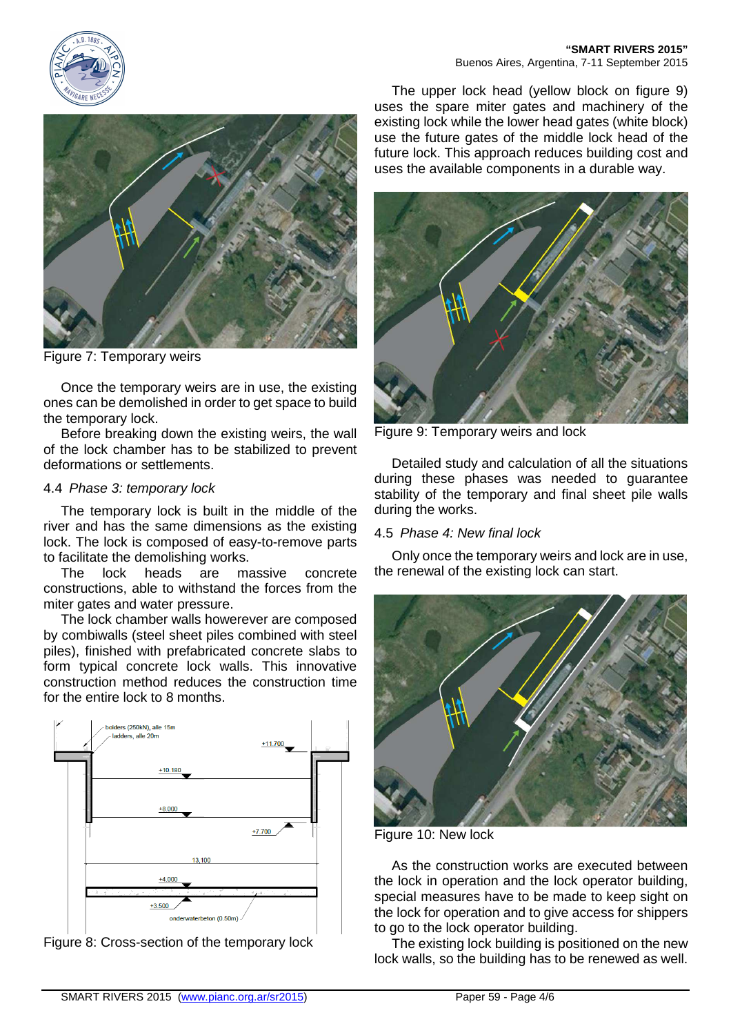





Figure 7: Temporary weirs

Once the temporary weirs are in use, the existing ones can be demolished in order to get space to build the temporary lock.

Before breaking down the existing weirs, the wall of the lock chamber has to be stabilized to prevent deformations or settlements.

#### 4.4 Phase 3: temporary lock

The temporary lock is built in the middle of the river and has the same dimensions as the existing lock. The lock is composed of easy-to-remove parts to facilitate the demolishing works.

The lock heads are massive concrete constructions, able to withstand the forces from the miter gates and water pressure.

The lock chamber walls howerever are composed by combiwalls (steel sheet piles combined with steel piles), finished with prefabricated concrete slabs to form typical concrete lock walls. This innovative construction method reduces the construction time for the entire lock to 8 months.



Figure 8: Cross-section of the temporary lock

The upper lock head (yellow block on figure 9) uses the spare miter gates and machinery of the existing lock while the lower head gates (white block) use the future gates of the middle lock head of the future lock. This approach reduces building cost and uses the available components in a durable way.



Figure 9: Temporary weirs and lock

Detailed study and calculation of all the situations during these phases was needed to guarantee stability of the temporary and final sheet pile walls during the works.

#### 4.5 Phase 4: New final lock

Only once the temporary weirs and lock are in use, the renewal of the existing lock can start.



Figure 10: New lock

As the construction works are executed between the lock in operation and the lock operator building, special measures have to be made to keep sight on the lock for operation and to give access for shippers to go to the lock operator building.

The existing lock building is positioned on the new lock walls, so the building has to be renewed as well.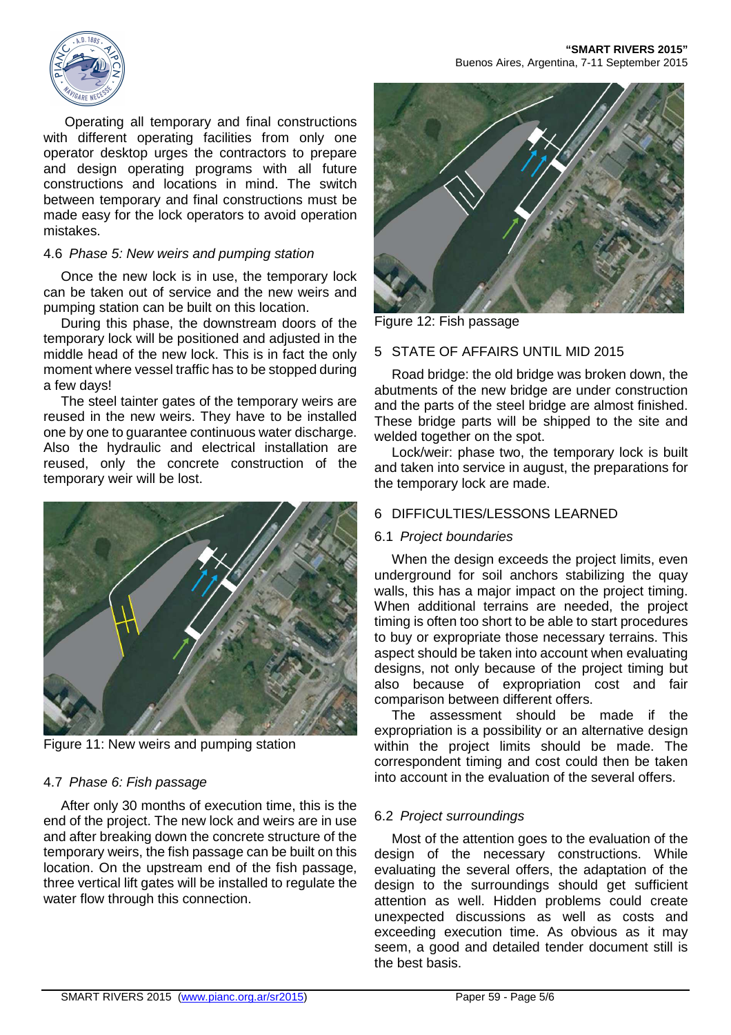Operating all temporary and final constructions with different operating facilities from only one operator desktop urges the contractors to prepare and design operating programs with all future constructions and locations in mind. The switch between temporary and final constructions must be made easy for the lock operators to avoid operation mistakes.

## 4.6 Phase 5: New weirs and pumping station

Once the new lock is in use, the temporary lock can be taken out of service and the new weirs and pumping station can be built on this location.

During this phase, the downstream doors of the temporary lock will be positioned and adjusted in the middle head of the new lock. This is in fact the only moment where vessel traffic has to be stopped during a few days!

The steel tainter gates of the temporary weirs are reused in the new weirs. They have to be installed one by one to guarantee continuous water discharge. Also the hydraulic and electrical installation are reused, only the concrete construction of the temporary weir will be lost.



Figure 11: New weirs and pumping station

## 4.7 Phase 6: Fish passage

After only 30 months of execution time, this is the end of the project. The new lock and weirs are in use and after breaking down the concrete structure of the temporary weirs, the fish passage can be built on this location. On the upstream end of the fish passage, three vertical lift gates will be installed to regulate the water flow through this connection.



Figure 12: Fish passage

## 5 STATE OF AFFAIRS UNTIL MID 2015

Road bridge: the old bridge was broken down, the abutments of the new bridge are under construction and the parts of the steel bridge are almost finished. These bridge parts will be shipped to the site and welded together on the spot.

Lock/weir: phase two, the temporary lock is built and taken into service in august, the preparations for the temporary lock are made.

## 6 DIFFICULTIES/LESSONS LEARNED

## 6.1 Project boundaries

When the design exceeds the project limits, even underground for soil anchors stabilizing the quay walls, this has a major impact on the project timing. When additional terrains are needed, the project timing is often too short to be able to start procedures to buy or expropriate those necessary terrains. This aspect should be taken into account when evaluating designs, not only because of the project timing but also because of expropriation cost and fair comparison between different offers.

The assessment should be made if the expropriation is a possibility or an alternative design within the project limits should be made. The correspondent timing and cost could then be taken into account in the evaluation of the several offers.

## 6.2 Project surroundings

Most of the attention goes to the evaluation of the design of the necessary constructions. While evaluating the several offers, the adaptation of the design to the surroundings should get sufficient attention as well. Hidden problems could create unexpected discussions as well as costs and exceeding execution time. As obvious as it may seem, a good and detailed tender document still is the best basis.